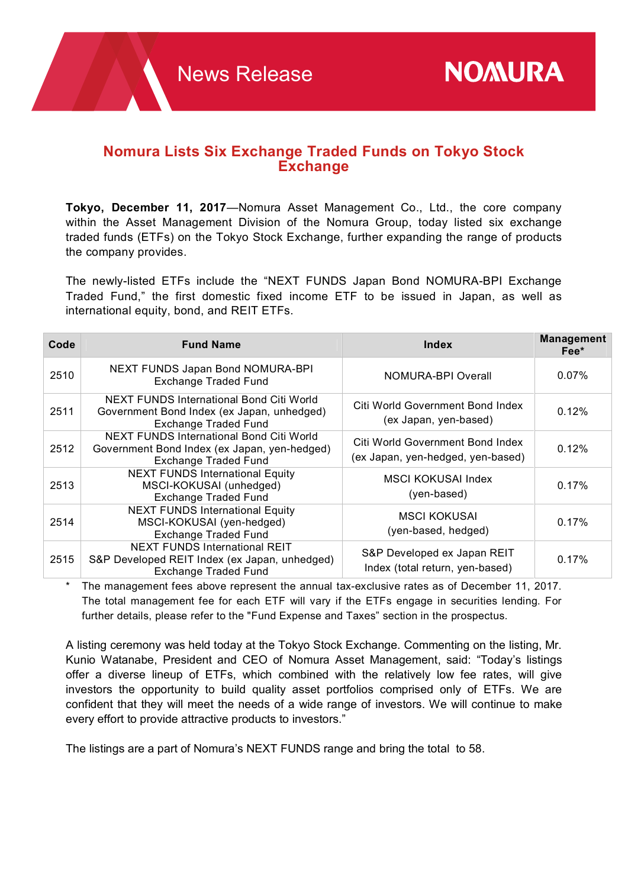## **Nomura Lists Six Exchange Traded Funds on Tokyo Stock Exchange**

**Tokyo, December 11, 2017**—Nomura Asset Management Co., Ltd., the core company within the Asset Management Division of the Nomura Group, today listed six exchange traded funds (ETFs) on the Tokyo Stock Exchange, further expanding the range of products the company provides.

The newly-listed ETFs include the "NEXT FUNDS Japan Bond NOMURA-BPI Exchange Traded Fund," the first domestic fixed income ETF to be issued in Japan, as well as international equity, bond, and REIT ETFs.

| Code | <b>Fund Name</b>                                                                                                        | <b>Index</b>                                                          | <b>Management</b><br>Fee* |
|------|-------------------------------------------------------------------------------------------------------------------------|-----------------------------------------------------------------------|---------------------------|
| 2510 | NEXT FUNDS Japan Bond NOMURA-BPI<br><b>Exchange Traded Fund</b>                                                         | NOMURA-BPI Overall                                                    | 0.07%                     |
| 2511 | NEXT FUNDS International Bond Citi World<br>Government Bond Index (ex Japan, unhedged)<br><b>Exchange Traded Fund</b>   | Citi World Government Bond Index<br>(ex Japan, yen-based)             | 0.12%                     |
| 2512 | NEXT FUNDS International Bond Citi World<br>Government Bond Index (ex Japan, yen-hedged)<br><b>Exchange Traded Fund</b> | Citi World Government Bond Index<br>(ex Japan, yen-hedged, yen-based) | 0.12%                     |
| 2513 | <b>NEXT FUNDS International Equity</b><br>MSCI-KOKUSAI (unhedged)<br><b>Exchange Traded Fund</b>                        | <b>MSCI KOKUSAI Index</b><br>(yen-based)                              | 0.17%                     |
| 2514 | <b>NEXT FUNDS International Equity</b><br>MSCI-KOKUSAI (yen-hedged)<br><b>Exchange Traded Fund</b>                      | <b>MSCI KOKUSAI</b><br>(yen-based, hedged)                            | 0.17%                     |
| 2515 | <b>NEXT FUNDS International REIT</b><br>S&P Developed REIT Index (ex Japan, unhedged)<br><b>Exchange Traded Fund</b>    | S&P Developed ex Japan REIT<br>Index (total return, yen-based)        | $0.17\%$                  |

The management fees above represent the annual tax-exclusive rates as of December 11, 2017. The total management fee for each ETF will vary if the ETFs engage in securities lending. For further details, please refer to the "Fund Expense and Taxes" section in the prospectus.

A listing ceremony was held today at the Tokyo Stock Exchange. Commenting on the listing, Mr. Kunio Watanabe, President and CEO of Nomura Asset Management, said: "Today's listings offer a diverse lineup of ETFs, which combined with the relatively low fee rates, will give investors the opportunity to build quality asset portfolios comprised only of ETFs. We are confident that they will meet the needs of a wide range of investors. We will continue to make every effort to provide attractive products to investors."

The listings are a part of Nomura's NEXT FUNDS range and bring the total to 58.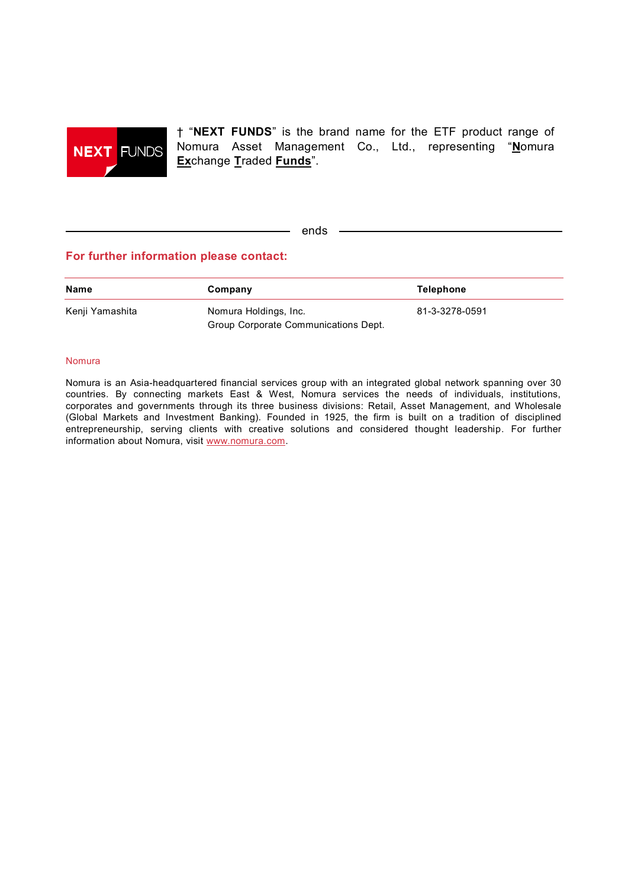

† "**NEXT FUNDS**" is the brand name for the ETF product range of Nomura Asset Management Co., Ltd., representing "**N**omura **Ex**change **T**raded **Funds**".

ends –

## **For further information please contact:**

| <b>Name</b>     | Company                              | Telephone      |
|-----------------|--------------------------------------|----------------|
| Kenji Yamashita | Nomura Holdings, Inc.                | 81-3-3278-0591 |
|                 | Group Corporate Communications Dept. |                |

## Nomura

Nomura is an Asia-headquartered financial services group with an integrated global network spanning over 30 countries. By connecting markets East & West, Nomura services the needs of individuals, institutions, corporates and governments through its three business divisions: Retail, Asset Management, and Wholesale (Global Markets and Investment Banking). Founded in 1925, the firm is built on a tradition of disciplined entrepreneurship, serving clients with creative solutions and considered thought leadership. For further information about Nomura, visit www.nomura.com.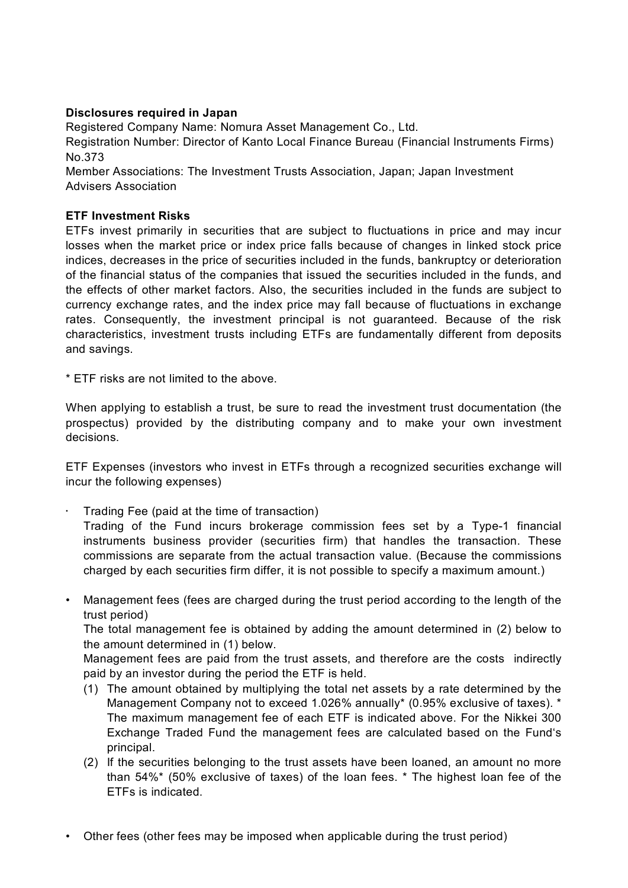## **Disclosures required in Japan**

Registered Company Name: Nomura Asset Management Co., Ltd. Registration Number: Director of Kanto Local Finance Bureau (Financial Instruments Firms) No.373 Member Associations: The Investment Trusts Association, Japan; Japan Investment Advisers Association

**ETF Investment Risks**

ETFs invest primarily in securities that are subject to fluctuations in price and may incur losses when the market price or index price falls because of changes in linked stock price indices, decreases in the price of securities included in the funds, bankruptcy or deterioration of the financial status of the companies that issued the securities included in the funds, and the effects of other market factors. Also, the securities included in the funds are subject to currency exchange rates, and the index price may fall because of fluctuations in exchange rates. Consequently, the investment principal is not guaranteed. Because of the risk characteristics, investment trusts including ETFs are fundamentally different from deposits and savings.

\* ETF risks are not limited to the above.

When applying to establish a trust, be sure to read the investment trust documentation (the prospectus) provided by the distributing company and to make your own investment decisions.

ETF Expenses (investors who invest in ETFs through a recognized securities exchange will incur the following expenses)

- Trading Fee (paid at the time of transaction) Trading of the Fund incurs brokerage commission fees set by a Type-1 financial instruments business provider (securities firm) that handles the transaction. These commissions are separate from the actual transaction value. (Because the commissions
- Management fees (fees are charged during the trust period according to the length of the trust period)

charged by each securities firm differ, it is not possible to specify a maximum amount.)

The total management fee is obtained by adding the amount determined in (2) below to the amount determined in (1) below.

Management fees are paid from the trust assets, and therefore are the costs indirectly paid by an investor during the period the ETF is held.

- (1) The amount obtained by multiplying the total net assets by a rate determined by the Management Company not to exceed 1.026% annually\* (0.95% exclusive of taxes). \* The maximum management fee of each ETF is indicated above. For the Nikkei 300 Exchange Traded Fund the management fees are calculated based on the Fund's principal.
- (2) If the securities belonging to the trust assets have been loaned, an amount no more than 54%\* (50% exclusive of taxes) of the loan fees. \* The highest loan fee of the ETFs is indicated.
- Other fees (other fees may be imposed when applicable during the trust period)